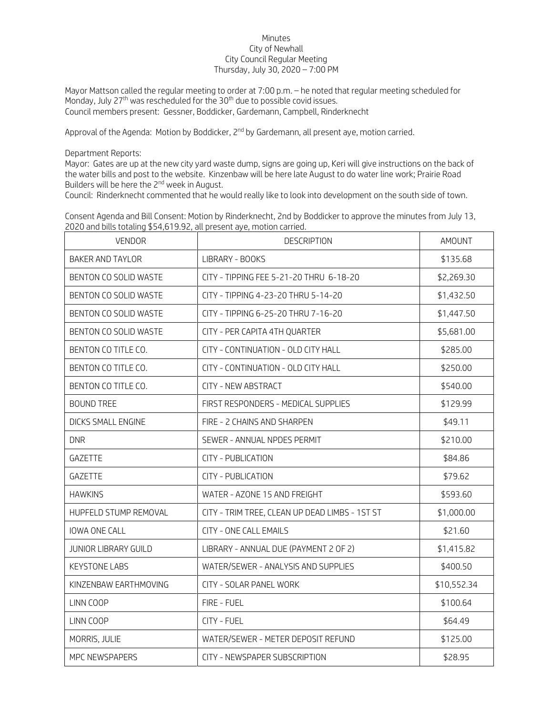## Minutes City of Newhall City Council Regular Meeting Thursday, July 30, 2020 – 7:00 PM

Mayor Mattson called the regular meeting to order at 7:00 p.m. – he noted that regular meeting scheduled for Monday, July 27<sup>th</sup> was rescheduled for the 30<sup>th</sup> due to possible covid issues. Council members present: Gessner, Boddicker, Gardemann, Campbell, Rinderknecht

Approval of the Agenda: Motion by Boddicker, 2<sup>nd</sup> by Gardemann, all present aye, motion carried.

Department Reports:

Mayor: Gates are up at the new city yard waste dump, signs are going up, Keri will give instructions on the back of the water bills and post to the website. Kinzenbaw will be here late August to do water line work; Prairie Road Builders will be here the 2<sup>nd</sup> week in August.

Council: Rinderknecht commented that he would really like to look into development on the south side of town.

Consent Agenda and Bill Consent: Motion by Rinderknecht, 2nd by Boddicker to approve the minutes from July 13, 2020 and bills totaling \$54,619.92, all present aye, motion carried.

| <b>VENDOR</b>           | <b>DESCRIPTION</b>                             | AMOUNT      |
|-------------------------|------------------------------------------------|-------------|
| <b>BAKER AND TAYLOR</b> | LIBRARY - BOOKS                                | \$135.68    |
| BENTON CO SOLID WASTE   | CITY - TIPPING FEE 5-21-20 THRU 6-18-20        | \$2,269.30  |
| BENTON CO SOLID WASTE   | CITY - TIPPING 4-23-20 THRU 5-14-20            | \$1,432.50  |
| BENTON CO SOLID WASTE   | CITY - TIPPING 6-25-20 THRU 7-16-20            | \$1,447.50  |
| BENTON CO SOLID WASTE   | CITY - PER CAPITA 4TH QUARTER                  | \$5,681.00  |
| BENTON CO TITLE CO.     | CITY - CONTINUATION - OLD CITY HALL            | \$285.00    |
| BENTON CO TITLE CO.     | CITY - CONTINUATION - OLD CITY HALL            | \$250.00    |
| BENTON CO TITLE CO.     | <b>CITY - NEW ABSTRACT</b>                     | \$540.00    |
| <b>BOUND TREE</b>       | FIRST RESPONDERS - MEDICAL SUPPLIES            | \$129.99    |
| DICKS SMALL ENGINE      | FIRE - 2 CHAINS AND SHARPEN                    | \$49.11     |
| <b>DNR</b>              | SEWER - ANNUAL NPDES PERMIT                    | \$210.00    |
| <b>GAZETTE</b>          | <b>CITY - PUBLICATION</b>                      | \$84.86     |
| GAZETTE                 | <b>CITY - PUBLICATION</b>                      | \$79.62     |
| <b>HAWKINS</b>          | WATER - AZONE 15 AND FREIGHT                   | \$593.60    |
| HUPFELD STUMP REMOVAL   | CITY - TRIM TREE, CLEAN UP DEAD LIMBS - 1ST ST | \$1,000.00  |
| IOWA ONE CALL           | <b>CITY - ONE CALL EMAILS</b>                  | \$21.60     |
| JUNIOR LIBRARY GUILD    | LIBRARY - ANNUAL DUE (PAYMENT 2 OF 2)          | \$1,415.82  |
| <b>KEYSTONE LABS</b>    | WATER/SEWER - ANALYSIS AND SUPPLIES            | \$400.50    |
| KINZENBAW EARTHMOVING   | CITY - SOLAR PANEL WORK                        | \$10,552.34 |
| LINN COOP               | FIRE - FUEL                                    | \$100.64    |
| LINN COOP               | CITY - FUEL                                    | \$64.49     |
| MORRIS, JULIE           | WATER/SEWER - METER DEPOSIT REFUND             | \$125.00    |
| MPC NEWSPAPERS          | CITY - NEWSPAPER SUBSCRIPTION                  | \$28.95     |